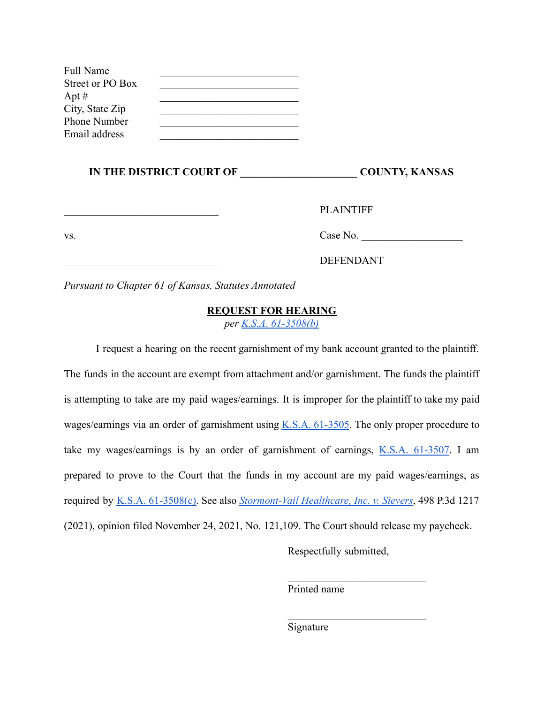| <b>Full Name</b> |  |
|------------------|--|
| Street or PO Box |  |
| Apt #            |  |
| City, State Zip  |  |
| Phone Number     |  |
| Email address    |  |

#### **IN THE DISTRICT COURT OF \_\_\_\_\_\_\_\_\_\_\_\_\_\_\_\_\_\_\_\_\_\_ COUNTY, KANSAS**

PLAINTIFF

vs. Case No.

\_\_\_\_\_\_\_\_\_\_\_\_\_\_\_\_\_\_\_\_\_\_\_\_\_\_\_\_\_ DEFENDANT

*Pursuant to Chapter 61 of Kansas, Statutes Annotated*

## **REQUEST FOR HEARING**

*per [K.S.A. 61-3508\(b\)](http://www.ksrevisor.org/statutes/chapters/ch61/061_035_0008.html)*

I request a hearing on the recent garnishment of my bank account granted to the plaintiff. The funds in the account are exempt from attachment and/or garnishment. The funds the plaintiff is attempting to take are my paid wages/earnings. It is improper for the plaintiff to take my paid wages/earnings via an order of garnishment using K.S.A. [61-3505](http://www.ksrevisor.org/statutes/chapters/ch61/061_035_0005.html). The only proper procedure to take my wages/earnings is by an order of garnishment of earnings, K.S.A. [61-3507.](http://www.ksrevisor.org/statutes/chapters/ch61/061_035_0007.html) I am prepared to prove to the Court that the funds in my account are my paid wages/earnings, as required by K.S.A. [61-3508\(c\).](http://www.ksrevisor.org/statutes/chapters/ch61/061_035_0008.html) See also *[Stormont-Vail](https://drive.google.com/file/d/1FTkWy2SL8c5I3SBRoiIvbRmk6i7jPLN4/view?usp=sharing) Healthcare, Inc. v. Sievers*, 498 P.3d 1217 (2021), opinion filed November 24, 2021, No. 121,109. The Court should release my paycheck.

Respectfully submitted,

 $\mathcal{L}_\text{max}$ 

 $\mathcal{L}_\text{max}$ 

Printed name

Signature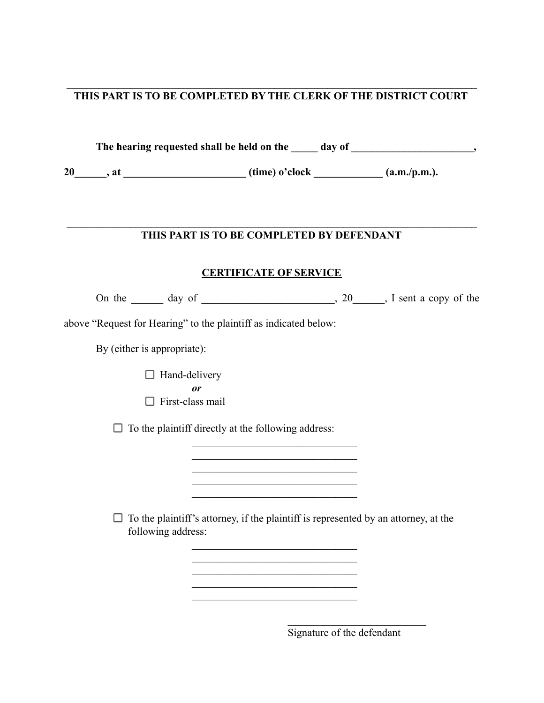#### $\mathcal{L}_\mathcal{L} = \{ \mathcal{L}_\mathcal{L} = \{ \mathcal{L}_\mathcal{L} = \{ \mathcal{L}_\mathcal{L} = \{ \mathcal{L}_\mathcal{L} = \{ \mathcal{L}_\mathcal{L} = \{ \mathcal{L}_\mathcal{L} = \{ \mathcal{L}_\mathcal{L} = \{ \mathcal{L}_\mathcal{L} = \{ \mathcal{L}_\mathcal{L} = \{ \mathcal{L}_\mathcal{L} = \{ \mathcal{L}_\mathcal{L} = \{ \mathcal{L}_\mathcal{L} = \{ \mathcal{L}_\mathcal{L} = \{ \mathcal{L}_\mathcal{$ **THIS PART IS TO BE COMPLETED BY THE CLERK OF THE DISTRICT COURT**

The hearing requested shall be held on the day of the contract of the contract of the contract of the contract of the contract of the contract of the contract of the contract of the contract of the contract of the contract

 $20$ , at  $(\text{time})$  o'clock  $(\text{a.m.}/\text{p.m.}).$ 

#### $\mathcal{L}_\mathcal{L} = \{ \mathcal{L}_\mathcal{L} = \{ \mathcal{L}_\mathcal{L} = \{ \mathcal{L}_\mathcal{L} = \{ \mathcal{L}_\mathcal{L} = \{ \mathcal{L}_\mathcal{L} = \{ \mathcal{L}_\mathcal{L} = \{ \mathcal{L}_\mathcal{L} = \{ \mathcal{L}_\mathcal{L} = \{ \mathcal{L}_\mathcal{L} = \{ \mathcal{L}_\mathcal{L} = \{ \mathcal{L}_\mathcal{L} = \{ \mathcal{L}_\mathcal{L} = \{ \mathcal{L}_\mathcal{L} = \{ \mathcal{L}_\mathcal{$ **THIS PART IS TO BE COMPLETED BY DEFENDANT**

### **CERTIFICATE OF SERVICE**

On the day of  $\qquad \qquad$  20  $\qquad$ , I sent a copy of the

above "Request for Hearing" to the plaintiff as indicated below:

By (either is appropriate):

 $\Box$  Hand-delivery *or*  $\Box$  First-class mail

 $\Box$  To the plaintiff directly at the following address:

 $\Box$  To the plaintiff's attorney, if the plaintiff is represented by an attorney, at the following address:

 $\mathcal{L}_\text{max}$  $\mathcal{L}_\text{max}$ 

 $\mathcal{L}_\text{max}$  $\mathcal{L}_\text{max}$ 

 $\mathcal{L}_\text{max}$  $\mathcal{L}_\text{max}$  $\mathcal{L}_\text{max}$  $\mathcal{L}_\text{max}$  $\mathcal{L}_\text{max}$ 

Signature of the defendant

 $\mathcal{L}_\text{max}$